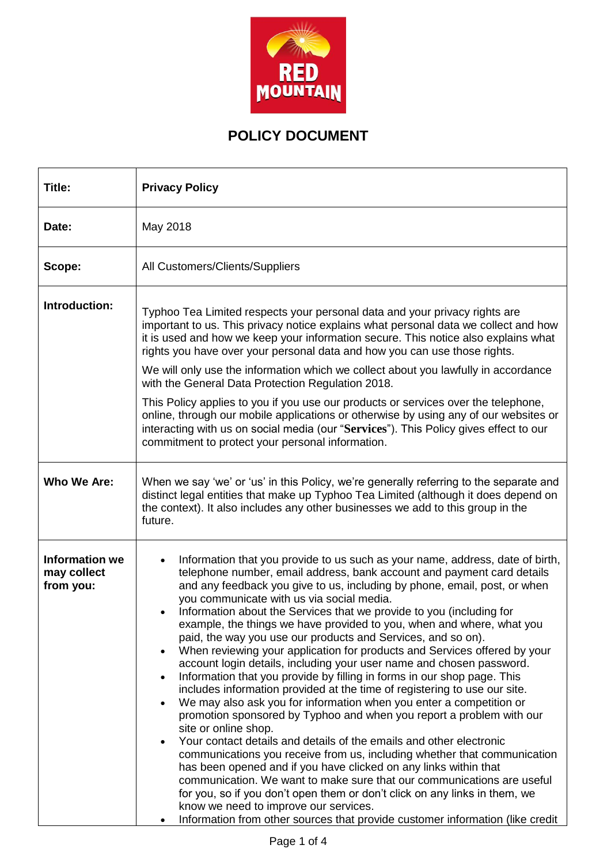

## **POLICY DOCUMENT**

| Title:                                            | <b>Privacy Policy</b>                                                                                                                                                                                                                                                                                                                                                                                                                                                                                                                                                                                                                                                                                                                                                                                                                                                                                                                                                                                                                                                                                                                                                                                                                                                                                                                                                                                                                                                                                        |  |  |  |
|---------------------------------------------------|--------------------------------------------------------------------------------------------------------------------------------------------------------------------------------------------------------------------------------------------------------------------------------------------------------------------------------------------------------------------------------------------------------------------------------------------------------------------------------------------------------------------------------------------------------------------------------------------------------------------------------------------------------------------------------------------------------------------------------------------------------------------------------------------------------------------------------------------------------------------------------------------------------------------------------------------------------------------------------------------------------------------------------------------------------------------------------------------------------------------------------------------------------------------------------------------------------------------------------------------------------------------------------------------------------------------------------------------------------------------------------------------------------------------------------------------------------------------------------------------------------------|--|--|--|
| Date:                                             | May 2018                                                                                                                                                                                                                                                                                                                                                                                                                                                                                                                                                                                                                                                                                                                                                                                                                                                                                                                                                                                                                                                                                                                                                                                                                                                                                                                                                                                                                                                                                                     |  |  |  |
| Scope:                                            | All Customers/Clients/Suppliers                                                                                                                                                                                                                                                                                                                                                                                                                                                                                                                                                                                                                                                                                                                                                                                                                                                                                                                                                                                                                                                                                                                                                                                                                                                                                                                                                                                                                                                                              |  |  |  |
| Introduction:                                     | Typhoo Tea Limited respects your personal data and your privacy rights are<br>important to us. This privacy notice explains what personal data we collect and how<br>it is used and how we keep your information secure. This notice also explains what<br>rights you have over your personal data and how you can use those rights.<br>We will only use the information which we collect about you lawfully in accordance<br>with the General Data Protection Regulation 2018.<br>This Policy applies to you if you use our products or services over the telephone,<br>online, through our mobile applications or otherwise by using any of our websites or<br>interacting with us on social media (our "Services"). This Policy gives effect to our<br>commitment to protect your personal information.                                                                                                                                                                                                                                                                                                                                                                                                                                                                                                                                                                                                                                                                                                   |  |  |  |
| Who We Are:                                       | When we say 'we' or 'us' in this Policy, we're generally referring to the separate and<br>distinct legal entities that make up Typhoo Tea Limited (although it does depend on<br>the context). It also includes any other businesses we add to this group in the<br>future.                                                                                                                                                                                                                                                                                                                                                                                                                                                                                                                                                                                                                                                                                                                                                                                                                                                                                                                                                                                                                                                                                                                                                                                                                                  |  |  |  |
| <b>Information we</b><br>may collect<br>from you: | Information that you provide to us such as your name, address, date of birth,<br>telephone number, email address, bank account and payment card details<br>and any feedback you give to us, including by phone, email, post, or when<br>you communicate with us via social media.<br>Information about the Services that we provide to you (including for<br>example, the things we have provided to you, when and where, what you<br>paid, the way you use our products and Services, and so on).<br>When reviewing your application for products and Services offered by your<br>account login details, including your user name and chosen password.<br>Information that you provide by filling in forms in our shop page. This<br>includes information provided at the time of registering to use our site.<br>We may also ask you for information when you enter a competition or<br>promotion sponsored by Typhoo and when you report a problem with our<br>site or online shop.<br>Your contact details and details of the emails and other electronic<br>$\bullet$<br>communications you receive from us, including whether that communication<br>has been opened and if you have clicked on any links within that<br>communication. We want to make sure that our communications are useful<br>for you, so if you don't open them or don't click on any links in them, we<br>know we need to improve our services.<br>Information from other sources that provide customer information (like credit |  |  |  |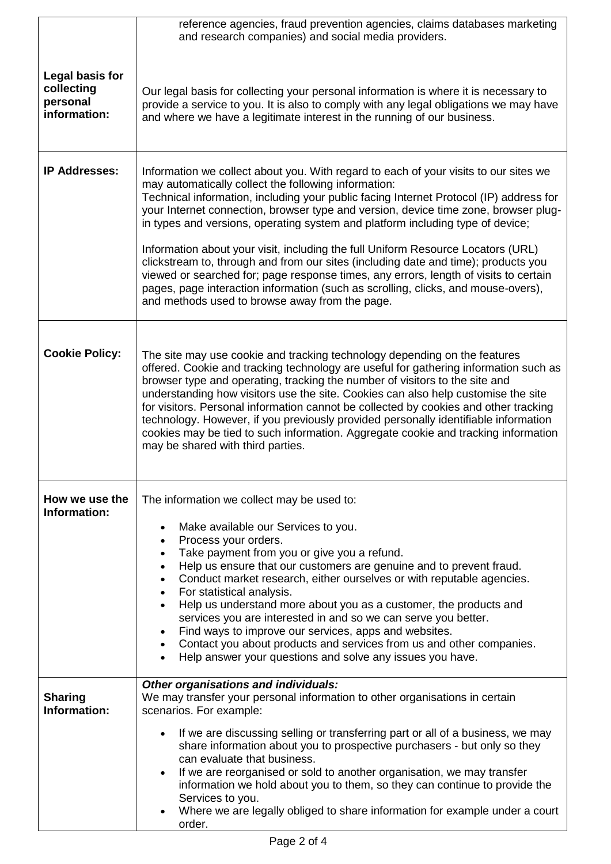|                                                           | reference agencies, fraud prevention agencies, claims databases marketing<br>and research companies) and social media providers.                                                                                                                                                                                                                                                                                                                                                                                                                                                                                                                                                                                                                                                                                         |  |  |  |
|-----------------------------------------------------------|--------------------------------------------------------------------------------------------------------------------------------------------------------------------------------------------------------------------------------------------------------------------------------------------------------------------------------------------------------------------------------------------------------------------------------------------------------------------------------------------------------------------------------------------------------------------------------------------------------------------------------------------------------------------------------------------------------------------------------------------------------------------------------------------------------------------------|--|--|--|
| Legal basis for<br>collecting<br>personal<br>information: | Our legal basis for collecting your personal information is where it is necessary to<br>provide a service to you. It is also to comply with any legal obligations we may have<br>and where we have a legitimate interest in the running of our business.                                                                                                                                                                                                                                                                                                                                                                                                                                                                                                                                                                 |  |  |  |
| <b>IP Addresses:</b>                                      | Information we collect about you. With regard to each of your visits to our sites we<br>may automatically collect the following information:<br>Technical information, including your public facing Internet Protocol (IP) address for<br>your Internet connection, browser type and version, device time zone, browser plug-<br>in types and versions, operating system and platform including type of device;<br>Information about your visit, including the full Uniform Resource Locators (URL)<br>clickstream to, through and from our sites (including date and time); products you<br>viewed or searched for; page response times, any errors, length of visits to certain<br>pages, page interaction information (such as scrolling, clicks, and mouse-overs),<br>and methods used to browse away from the page. |  |  |  |
| <b>Cookie Policy:</b>                                     | The site may use cookie and tracking technology depending on the features<br>offered. Cookie and tracking technology are useful for gathering information such as<br>browser type and operating, tracking the number of visitors to the site and<br>understanding how visitors use the site. Cookies can also help customise the site<br>for visitors. Personal information cannot be collected by cookies and other tracking<br>technology. However, if you previously provided personally identifiable information<br>cookies may be tied to such information. Aggregate cookie and tracking information<br>may be shared with third parties.                                                                                                                                                                          |  |  |  |
| How we use the<br>Information:                            | The information we collect may be used to:<br>Make available our Services to you.<br>$\bullet$<br>Process your orders.<br>$\bullet$<br>Take payment from you or give you a refund.<br>$\bullet$<br>Help us ensure that our customers are genuine and to prevent fraud.<br>$\bullet$<br>Conduct market research, either ourselves or with reputable agencies.<br>$\bullet$<br>For statistical analysis.<br>$\bullet$<br>Help us understand more about you as a customer, the products and<br>services you are interested in and so we can serve you better.<br>Find ways to improve our services, apps and websites.<br>$\bullet$<br>Contact you about products and services from us and other companies.<br>Help answer your questions and solve any issues you have.                                                    |  |  |  |
| <b>Sharing</b><br>Information:                            | Other organisations and individuals:<br>We may transfer your personal information to other organisations in certain<br>scenarios. For example:<br>If we are discussing selling or transferring part or all of a business, we may<br>$\bullet$<br>share information about you to prospective purchasers - but only so they<br>can evaluate that business.<br>If we are reorganised or sold to another organisation, we may transfer<br>information we hold about you to them, so they can continue to provide the<br>Services to you.<br>Where we are legally obliged to share information for example under a court<br>order.                                                                                                                                                                                            |  |  |  |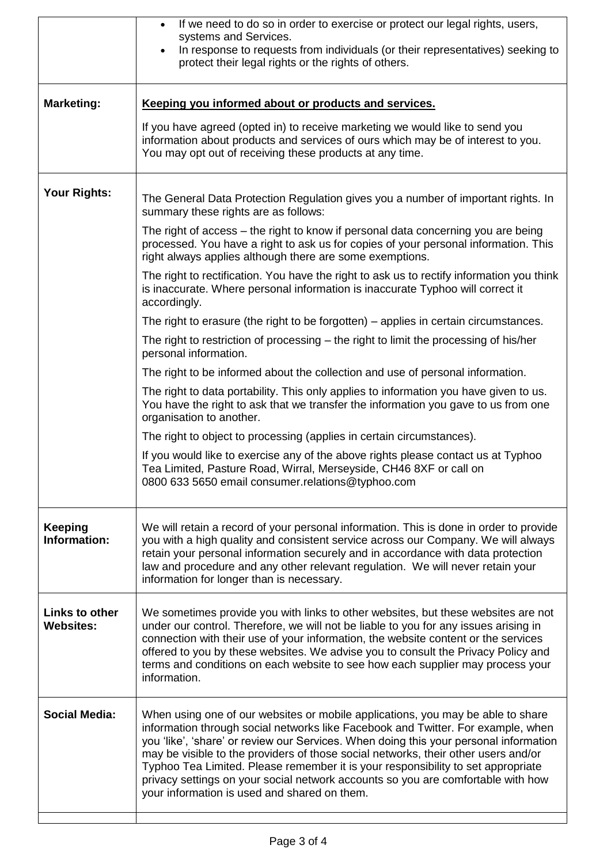|                                           | If we need to do so in order to exercise or protect our legal rights, users,<br>$\bullet$<br>systems and Services.                                                                                                                                                                                                                                                                                                                                                                                                                                                         |  |  |  |
|-------------------------------------------|----------------------------------------------------------------------------------------------------------------------------------------------------------------------------------------------------------------------------------------------------------------------------------------------------------------------------------------------------------------------------------------------------------------------------------------------------------------------------------------------------------------------------------------------------------------------------|--|--|--|
|                                           | In response to requests from individuals (or their representatives) seeking to<br>$\bullet$<br>protect their legal rights or the rights of others.                                                                                                                                                                                                                                                                                                                                                                                                                         |  |  |  |
| <b>Marketing:</b>                         | Keeping you informed about or products and services.                                                                                                                                                                                                                                                                                                                                                                                                                                                                                                                       |  |  |  |
|                                           | If you have agreed (opted in) to receive marketing we would like to send you<br>information about products and services of ours which may be of interest to you.<br>You may opt out of receiving these products at any time.                                                                                                                                                                                                                                                                                                                                               |  |  |  |
| Your Rights:                              | The General Data Protection Regulation gives you a number of important rights. In<br>summary these rights are as follows:                                                                                                                                                                                                                                                                                                                                                                                                                                                  |  |  |  |
|                                           | The right of access – the right to know if personal data concerning you are being<br>processed. You have a right to ask us for copies of your personal information. This<br>right always applies although there are some exemptions.                                                                                                                                                                                                                                                                                                                                       |  |  |  |
|                                           | The right to rectification. You have the right to ask us to rectify information you think<br>is inaccurate. Where personal information is inaccurate Typhoo will correct it<br>accordingly.                                                                                                                                                                                                                                                                                                                                                                                |  |  |  |
|                                           | The right to erasure (the right to be forgotten) - applies in certain circumstances.                                                                                                                                                                                                                                                                                                                                                                                                                                                                                       |  |  |  |
|                                           | The right to restriction of processing – the right to limit the processing of his/her<br>personal information.                                                                                                                                                                                                                                                                                                                                                                                                                                                             |  |  |  |
|                                           | The right to be informed about the collection and use of personal information.                                                                                                                                                                                                                                                                                                                                                                                                                                                                                             |  |  |  |
|                                           | The right to data portability. This only applies to information you have given to us.<br>You have the right to ask that we transfer the information you gave to us from one<br>organisation to another.                                                                                                                                                                                                                                                                                                                                                                    |  |  |  |
|                                           | The right to object to processing (applies in certain circumstances).                                                                                                                                                                                                                                                                                                                                                                                                                                                                                                      |  |  |  |
|                                           | If you would like to exercise any of the above rights please contact us at Typhoo<br>Tea Limited, Pasture Road, Wirral, Merseyside, CH46 8XF or call on<br>0800 633 5650 email consumer.relations@typhoo.com                                                                                                                                                                                                                                                                                                                                                               |  |  |  |
| <b>Keeping</b><br>Information:            | We will retain a record of your personal information. This is done in order to provide<br>you with a high quality and consistent service across our Company. We will always<br>retain your personal information securely and in accordance with data protection<br>law and procedure and any other relevant regulation. We will never retain your<br>information for longer than is necessary.                                                                                                                                                                             |  |  |  |
| <b>Links to other</b><br><b>Websites:</b> | We sometimes provide you with links to other websites, but these websites are not<br>under our control. Therefore, we will not be liable to you for any issues arising in<br>connection with their use of your information, the website content or the services<br>offered to you by these websites. We advise you to consult the Privacy Policy and<br>terms and conditions on each website to see how each supplier may process your<br>information.                                                                                                                     |  |  |  |
| <b>Social Media:</b>                      | When using one of our websites or mobile applications, you may be able to share<br>information through social networks like Facebook and Twitter. For example, when<br>you 'like', 'share' or review our Services. When doing this your personal information<br>may be visible to the providers of those social networks, their other users and/or<br>Typhoo Tea Limited. Please remember it is your responsibility to set appropriate<br>privacy settings on your social network accounts so you are comfortable with how<br>your information is used and shared on them. |  |  |  |
|                                           |                                                                                                                                                                                                                                                                                                                                                                                                                                                                                                                                                                            |  |  |  |